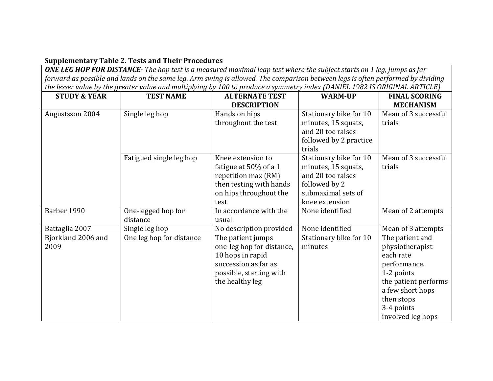## **Supplementary Table 2. Tests and Their Procedures**

*ONE LEG HOP FOR DISTANCE- The hop test is a measured maximal leap test where the subject starts on 1 leg, jumps as far forward as possible and lands on the same leg. Arm swing is allowed. The comparison between legs is often performed by dividing the lesser value by the greater value and multiplying by 100 to produce a symmetry index (DANIEL 1982 IS ORIGINAL ARTICLE)*

| <b>STUDY &amp; YEAR</b>    | <b>TEST NAME</b>               | <b>ALTERNATE TEST</b>                                                                                                                    | <b>WARM-UP</b>                                                                                                              | <b>FINAL SCORING</b>                                                                                                                                                       |
|----------------------------|--------------------------------|------------------------------------------------------------------------------------------------------------------------------------------|-----------------------------------------------------------------------------------------------------------------------------|----------------------------------------------------------------------------------------------------------------------------------------------------------------------------|
|                            |                                | <b>DESCRIPTION</b>                                                                                                                       |                                                                                                                             | <b>MECHANISM</b>                                                                                                                                                           |
| Augustsson 2004            | Single leg hop                 | Hands on hips<br>throughout the test                                                                                                     | Stationary bike for 10<br>minutes, 15 squats,<br>and 20 toe raises<br>followed by 2 practice<br>trials                      | Mean of 3 successful<br>trials                                                                                                                                             |
|                            | Fatigued single leg hop        | Knee extension to<br>fatigue at 50% of a 1<br>repetition max (RM)<br>then testing with hands<br>on hips throughout the<br>test           | Stationary bike for 10<br>minutes, 15 squats,<br>and 20 toe raises<br>followed by 2<br>submaximal sets of<br>knee extension | Mean of 3 successful<br>trials                                                                                                                                             |
| Barber 1990                | One-legged hop for<br>distance | In accordance with the<br>usual                                                                                                          | None identified                                                                                                             | Mean of 2 attempts                                                                                                                                                         |
| Battaglia 2007             | Single leg hop                 | No description provided                                                                                                                  | None identified                                                                                                             | Mean of 3 attempts                                                                                                                                                         |
| Bjorkland 2006 and<br>2009 | One leg hop for distance       | The patient jumps<br>one-leg hop for distance,<br>10 hops in rapid<br>succession as far as<br>possible, starting with<br>the healthy leg | Stationary bike for 10<br>minutes                                                                                           | The patient and<br>physiotherapist<br>each rate<br>performance.<br>1-2 points<br>the patient performs<br>a few short hops<br>then stops<br>3-4 points<br>involved leg hops |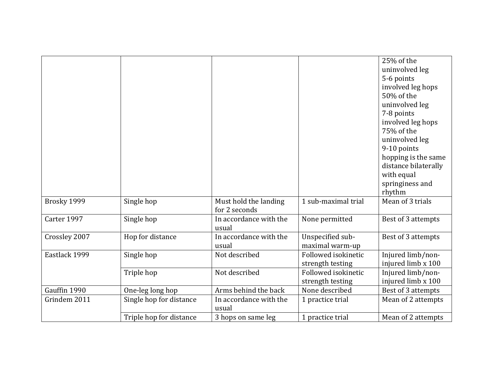|               |                         |                        |                     | 25% of the           |
|---------------|-------------------------|------------------------|---------------------|----------------------|
|               |                         |                        |                     | uninvolved leg       |
|               |                         |                        |                     | 5-6 points           |
|               |                         |                        |                     | involved leg hops    |
|               |                         |                        |                     | 50% of the           |
|               |                         |                        |                     | uninvolved leg       |
|               |                         |                        |                     | 7-8 points           |
|               |                         |                        |                     | involved leg hops    |
|               |                         |                        |                     | 75% of the           |
|               |                         |                        |                     | uninvolved leg       |
|               |                         |                        |                     | 9-10 points          |
|               |                         |                        |                     | hopping is the same  |
|               |                         |                        |                     | distance bilaterally |
|               |                         |                        |                     | with equal           |
|               |                         |                        |                     | springiness and      |
|               |                         |                        |                     | rhythm               |
| Brosky 1999   | Single hop              | Must hold the landing  | 1 sub-maximal trial | Mean of 3 trials     |
|               |                         | for 2 seconds          |                     |                      |
| Carter 1997   | Single hop              | In accordance with the | None permitted      | Best of 3 attempts   |
|               |                         | usual                  |                     |                      |
| Crossley 2007 | Hop for distance        | In accordance with the | Unspecified sub-    | Best of 3 attempts   |
|               |                         | usual                  | maximal warm-up     |                      |
| Eastlack 1999 | Single hop              | Not described          | Followed isokinetic | Injured limb/non-    |
|               |                         |                        | strength testing    | injured limb x 100   |
|               | Triple hop              | Not described          | Followed isokinetic | Injured limb/non-    |
|               |                         |                        | strength testing    | injured limb x 100   |
| Gauffin 1990  | One-leg long hop        | Arms behind the back   | None described      | Best of 3 attempts   |
| Grindem 2011  | Single hop for distance | In accordance with the | 1 practice trial    | Mean of 2 attempts   |
|               |                         | usual                  |                     |                      |
|               | Triple hop for distance | 3 hops on same leg     | 1 practice trial    | Mean of 2 attempts   |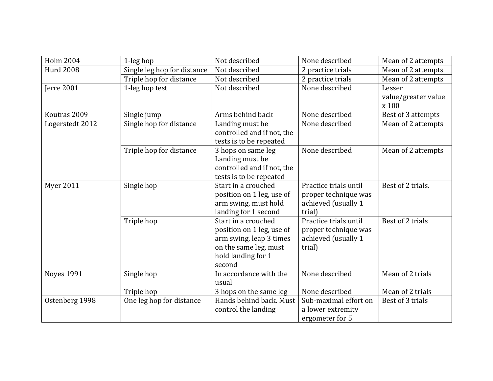| <b>Holm 2004</b>  | 1-leg hop                   | Not described                                                                                                                        | None described                                                                 | Mean of 2 attempts                     |
|-------------------|-----------------------------|--------------------------------------------------------------------------------------------------------------------------------------|--------------------------------------------------------------------------------|----------------------------------------|
| <b>Hurd 2008</b>  | Single leg hop for distance | Not described                                                                                                                        | 2 practice trials                                                              | Mean of 2 attempts                     |
|                   | Triple hop for distance     | Not described                                                                                                                        | 2 practice trials                                                              | Mean of 2 attempts                     |
| Jerre 2001        | 1-leg hop test              | Not described                                                                                                                        | None described                                                                 | Lesser<br>value/greater value<br>x 100 |
| Koutras 2009      | Single jump                 | Arms behind back                                                                                                                     | None described                                                                 | Best of 3 attempts                     |
| Logerstedt 2012   | Single hop for distance     | Landing must be<br>controlled and if not, the<br>tests is to be repeated                                                             | None described                                                                 | Mean of 2 attempts                     |
|                   | Triple hop for distance     | 3 hops on same leg<br>Landing must be<br>controlled and if not, the<br>tests is to be repeated                                       | None described                                                                 | Mean of 2 attempts                     |
| <b>Myer 2011</b>  | Single hop                  | Start in a crouched<br>position on 1 leg, use of<br>arm swing, must hold<br>landing for 1 second                                     | Practice trials until<br>proper technique was<br>achieved (usually 1<br>trial) | Best of 2 trials.                      |
|                   | Triple hop                  | Start in a crouched<br>position on 1 leg, use of<br>arm swing, leap 3 times<br>on the same leg, must<br>hold landing for 1<br>second | Practice trials until<br>proper technique was<br>achieved (usually 1<br>trial) | Best of 2 trials                       |
| <b>Noyes 1991</b> | Single hop                  | In accordance with the<br>usual                                                                                                      | None described                                                                 | Mean of 2 trials                       |
|                   | Triple hop                  | 3 hops on the same leg                                                                                                               | None described                                                                 | Mean of 2 trials                       |
| Ostenberg 1998    | One leg hop for distance    | Hands behind back. Must<br>control the landing                                                                                       | Sub-maximal effort on<br>a lower extremity<br>ergometer for 5                  | Best of 3 trials                       |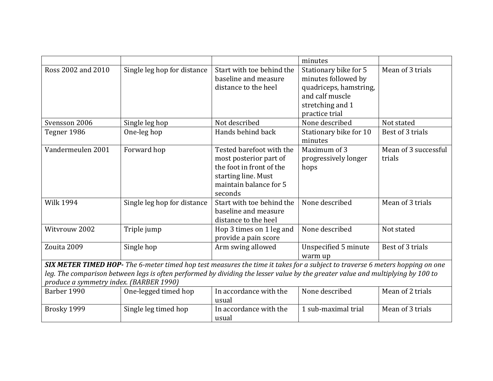|                                                                                                                                                                            |                                                                                                                              |                                                                                                                                            | minutes                                                                                                                         |                                |
|----------------------------------------------------------------------------------------------------------------------------------------------------------------------------|------------------------------------------------------------------------------------------------------------------------------|--------------------------------------------------------------------------------------------------------------------------------------------|---------------------------------------------------------------------------------------------------------------------------------|--------------------------------|
| Ross 2002 and 2010                                                                                                                                                         | Single leg hop for distance                                                                                                  | Start with toe behind the<br>baseline and measure<br>distance to the heel                                                                  | Stationary bike for 5<br>minutes followed by<br>quadriceps, hamstring,<br>and calf muscle<br>stretching and 1<br>practice trial | Mean of 3 trials               |
| Svensson 2006                                                                                                                                                              | Single leg hop                                                                                                               | Not described                                                                                                                              | None described                                                                                                                  | Not stated                     |
| Tegner 1986                                                                                                                                                                | One-leg hop                                                                                                                  | Hands behind back                                                                                                                          | Stationary bike for 10<br>minutes                                                                                               | Best of 3 trials               |
| Vandermeulen 2001                                                                                                                                                          | Forward hop                                                                                                                  | Tested barefoot with the<br>most posterior part of<br>the foot in front of the<br>starting line. Must<br>maintain balance for 5<br>seconds | Maximum of 3<br>progressively longer<br>hops                                                                                    | Mean of 3 successful<br>trials |
| <b>Wilk 1994</b>                                                                                                                                                           | Single leg hop for distance                                                                                                  | Start with toe behind the<br>baseline and measure<br>distance to the heel                                                                  | None described                                                                                                                  | Mean of 3 trials               |
| Witvrouw 2002                                                                                                                                                              | Triple jump                                                                                                                  | Hop 3 times on 1 leg and<br>provide a pain score                                                                                           | None described                                                                                                                  | Not stated                     |
| Zouita 2009                                                                                                                                                                | Single hop                                                                                                                   | Arm swing allowed                                                                                                                          | <b>Unspecified 5 minute</b><br>warm up                                                                                          | Best of 3 trials               |
|                                                                                                                                                                            | SIX METER TIMED HOP- The 6-meter timed hop test measures the time it takes for a subject to traverse 6 meters hopping on one |                                                                                                                                            |                                                                                                                                 |                                |
| leg. The comparison between legs is often performed by dividing the lesser value by the greater value and multiplying by 100 to<br>produce a symmetry index. (BARBER 1990) |                                                                                                                              |                                                                                                                                            |                                                                                                                                 |                                |
| Barber 1990                                                                                                                                                                | One-legged timed hop                                                                                                         | In accordance with the<br>usual                                                                                                            | None described                                                                                                                  | Mean of 2 trials               |
| Brosky 1999                                                                                                                                                                | Single leg timed hop                                                                                                         | In accordance with the<br>usual                                                                                                            | 1 sub-maximal trial                                                                                                             | Mean of 3 trials               |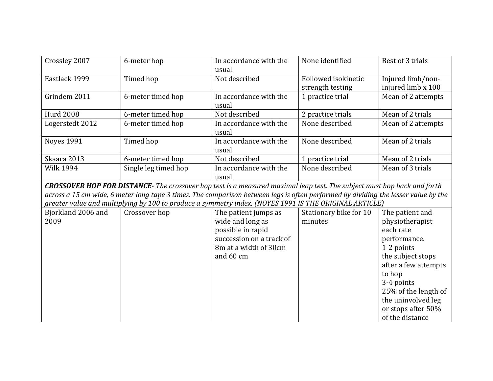| Crossley 2007     | 6-meter hop          | In accordance with the<br>usual | None identified                         | Best of 3 trials                        |
|-------------------|----------------------|---------------------------------|-----------------------------------------|-----------------------------------------|
| Eastlack 1999     | Timed hop            | Not described                   | Followed isokinetic<br>strength testing | Injured limb/non-<br>injured limb x 100 |
| Grindem 2011      | 6-meter timed hop    | In accordance with the<br>usual | 1 practice trial                        | Mean of 2 attempts                      |
| <b>Hurd 2008</b>  | 6-meter timed hop    | Not described                   | 2 practice trials                       | Mean of 2 trials                        |
| Logerstedt 2012   | 6-meter timed hop    | In accordance with the<br>usual | None described                          | Mean of 2 attempts                      |
| <b>Noves 1991</b> | Timed hop            | In accordance with the<br>usual | None described                          | Mean of 2 trials                        |
| Skaara 2013       | 6-meter timed hop    | Not described                   | 1 practice trial                        | Mean of 2 trials                        |
| <b>Wilk 1994</b>  | Single leg timed hop | In accordance with the<br>usual | None described                          | Mean of 3 trials                        |

*CROSSOVER HOP FOR DISTANCE- The crossover hop test is a measured maximal leap test. The subject must hop back and forth across a 15 cm wide, 6 meter long tape 3 times. The comparison between legs is often performed by dividing the lesser value by the greater value and multiplying by 100 to produce a symmetry index. (NOYES 1991 IS THE ORIGINAL ARTICLE)*

| Bjorkland 2006 and | Crossover hop | The patient jumps as     | Stationary bike for 10 | The patient and      |
|--------------------|---------------|--------------------------|------------------------|----------------------|
| 2009               |               | wide and long as         | minutes                | physiotherapist      |
|                    |               | possible in rapid        |                        | each rate            |
|                    |               | succession on a track of |                        | performance.         |
|                    |               | 8m at a width of 30cm    |                        | 1-2 points           |
|                    |               | and 60 cm                |                        | the subject stops    |
|                    |               |                          |                        | after a few attempts |
|                    |               |                          |                        | to hop               |
|                    |               |                          |                        | 3-4 points           |
|                    |               |                          |                        | 25% of the length of |
|                    |               |                          |                        | the uninvolved leg   |
|                    |               |                          |                        | or stops after 50%   |
|                    |               |                          |                        | of the distance      |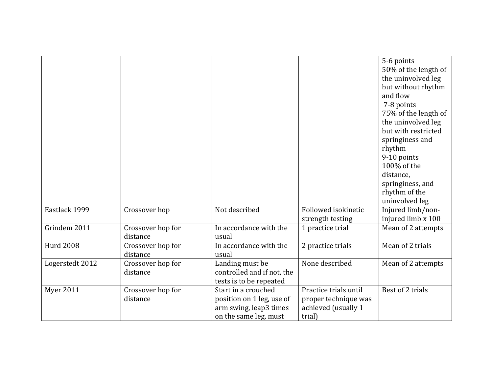|                  |                               |                                                                                                     |                                                                                | 5-6 points<br>50% of the length of<br>the uninvolved leg<br>but without rhythm<br>and flow<br>7-8 points<br>75% of the length of<br>the uninvolved leg<br>but with restricted<br>springiness and<br>rhythm<br>9-10 points<br>100% of the<br>distance,<br>springiness, and<br>rhythm of the<br>uninvolved leg |
|------------------|-------------------------------|-----------------------------------------------------------------------------------------------------|--------------------------------------------------------------------------------|--------------------------------------------------------------------------------------------------------------------------------------------------------------------------------------------------------------------------------------------------------------------------------------------------------------|
| Eastlack 1999    | Crossover hop                 | Not described                                                                                       | Followed isokinetic<br>strength testing                                        | Injured limb/non-<br>injured limb x 100                                                                                                                                                                                                                                                                      |
| Grindem 2011     | Crossover hop for<br>distance | In accordance with the<br>usual                                                                     | 1 practice trial                                                               | Mean of 2 attempts                                                                                                                                                                                                                                                                                           |
| <b>Hurd 2008</b> | Crossover hop for<br>distance | In accordance with the<br>usual                                                                     | 2 practice trials                                                              | Mean of 2 trials                                                                                                                                                                                                                                                                                             |
| Logerstedt 2012  | Crossover hop for<br>distance | Landing must be<br>controlled and if not, the<br>tests is to be repeated                            | None described                                                                 | Mean of 2 attempts                                                                                                                                                                                                                                                                                           |
| <b>Myer 2011</b> | Crossover hop for<br>distance | Start in a crouched<br>position on 1 leg, use of<br>arm swing, leap3 times<br>on the same leg, must | Practice trials until<br>proper technique was<br>achieved (usually 1<br>trial) | Best of 2 trials                                                                                                                                                                                                                                                                                             |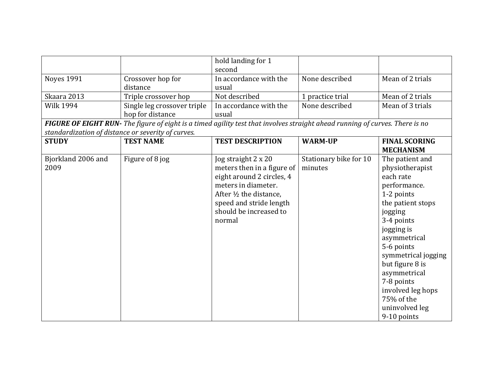|                                                    |                                                                                                                              | hold landing for 1                                                                                                                                                                              |                                   |                                                                                                                                                                                                                                                                                                                     |
|----------------------------------------------------|------------------------------------------------------------------------------------------------------------------------------|-------------------------------------------------------------------------------------------------------------------------------------------------------------------------------------------------|-----------------------------------|---------------------------------------------------------------------------------------------------------------------------------------------------------------------------------------------------------------------------------------------------------------------------------------------------------------------|
|                                                    |                                                                                                                              | second                                                                                                                                                                                          |                                   |                                                                                                                                                                                                                                                                                                                     |
| <b>Noyes 1991</b>                                  | Crossover hop for                                                                                                            | In accordance with the                                                                                                                                                                          | None described                    | Mean of 2 trials                                                                                                                                                                                                                                                                                                    |
|                                                    | distance                                                                                                                     | usual                                                                                                                                                                                           |                                   |                                                                                                                                                                                                                                                                                                                     |
| Skaara 2013                                        | Triple crossover hop                                                                                                         | Not described                                                                                                                                                                                   | 1 practice trial                  | Mean of 2 trials                                                                                                                                                                                                                                                                                                    |
| <b>Wilk 1994</b>                                   | Single leg crossover triple                                                                                                  | In accordance with the                                                                                                                                                                          | None described                    | Mean of 3 trials                                                                                                                                                                                                                                                                                                    |
|                                                    | hop for distance                                                                                                             | usual                                                                                                                                                                                           |                                   |                                                                                                                                                                                                                                                                                                                     |
|                                                    | FIGURE OF EIGHT RUN- The figure of eight is a timed agility test that involves straight ahead running of curves. There is no |                                                                                                                                                                                                 |                                   |                                                                                                                                                                                                                                                                                                                     |
| standardization of distance or severity of curves. |                                                                                                                              |                                                                                                                                                                                                 |                                   |                                                                                                                                                                                                                                                                                                                     |
| <b>STUDY</b>                                       | <b>TEST NAME</b>                                                                                                             | <b>TEST DESCRIPTION</b>                                                                                                                                                                         | <b>WARM-UP</b>                    | <b>FINAL SCORING</b>                                                                                                                                                                                                                                                                                                |
|                                                    |                                                                                                                              |                                                                                                                                                                                                 |                                   | <b>MECHANISM</b>                                                                                                                                                                                                                                                                                                    |
| Bjorkland 2006 and<br>2009                         | Figure of 8 jog                                                                                                              | Jog straight 2 x 20<br>meters then in a figure of<br>eight around 2 circles, 4<br>meters in diameter.<br>After 1/2 the distance,<br>speed and stride length<br>should be increased to<br>normal | Stationary bike for 10<br>minutes | The patient and<br>physiotherapist<br>each rate<br>performance.<br>1-2 points<br>the patient stops<br>jogging<br>3-4 points<br>jogging is<br>asymmetrical<br>5-6 points<br>symmetrical jogging<br>but figure 8 is<br>asymmetrical<br>7-8 points<br>involved leg hops<br>75% of the<br>uninvolved leg<br>9-10 points |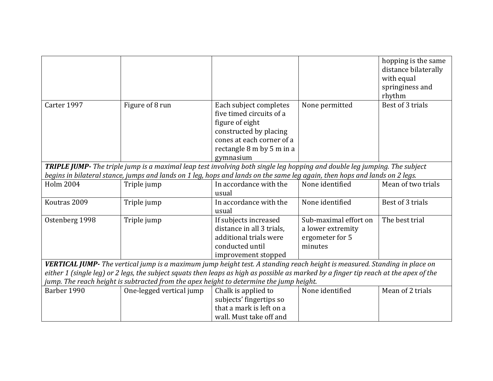|                  |                                                                                                                                       |                           |                       | hopping is the same  |
|------------------|---------------------------------------------------------------------------------------------------------------------------------------|---------------------------|-----------------------|----------------------|
|                  |                                                                                                                                       |                           |                       | distance bilaterally |
|                  |                                                                                                                                       |                           |                       | with equal           |
|                  |                                                                                                                                       |                           |                       | springiness and      |
|                  |                                                                                                                                       |                           |                       | rhythm               |
| Carter 1997      | Figure of 8 run                                                                                                                       | Each subject completes    | None permitted        | Best of 3 trials     |
|                  |                                                                                                                                       | five timed circuits of a  |                       |                      |
|                  |                                                                                                                                       | figure of eight           |                       |                      |
|                  |                                                                                                                                       | constructed by placing    |                       |                      |
|                  |                                                                                                                                       | cones at each corner of a |                       |                      |
|                  |                                                                                                                                       | rectangle 8 m by 5 m in a |                       |                      |
|                  |                                                                                                                                       | gymnasium                 |                       |                      |
|                  | <b>TRIPLE JUMP-</b> The triple jump is a maximal leap test involving both single leg hopping and double leg jumping. The subject      |                           |                       |                      |
|                  | begins in bilateral stance, jumps and lands on 1 leg, hops and lands on the same leg again, then hops and lands on 2 legs.            |                           |                       |                      |
| <b>Holm 2004</b> | Triple jump                                                                                                                           | In accordance with the    | None identified       | Mean of two trials   |
|                  |                                                                                                                                       | usual                     |                       |                      |
| Koutras 2009     | Triple jump                                                                                                                           | In accordance with the    | None identified       | Best of 3 trials     |
|                  |                                                                                                                                       | usual                     |                       |                      |
| Ostenberg 1998   | Triple jump                                                                                                                           | If subjects increased     | Sub-maximal effort on | The best trial       |
|                  |                                                                                                                                       | distance in all 3 trials, | a lower extremity     |                      |
|                  |                                                                                                                                       | additional trials were    | ergometer for 5       |                      |
|                  |                                                                                                                                       | conducted until           | minutes               |                      |
|                  |                                                                                                                                       | improvement stopped       |                       |                      |
|                  | VERTICAL JUMP- The vertical jump is a maximum jump height test. A standing reach height is measured. Standing in place on             |                           |                       |                      |
|                  | either 1 (single leg) or 2 legs, the subject squats then leaps as high as possible as marked by a finger tip reach at the apex of the |                           |                       |                      |
|                  | jump. The reach height is subtracted from the apex height to determine the jump height.                                               |                           |                       |                      |
| Barber 1990      | One-legged vertical jump                                                                                                              | Chalk is applied to       | None identified       | Mean of 2 trials     |
|                  |                                                                                                                                       | subjects' fingertips so   |                       |                      |
|                  |                                                                                                                                       | that a mark is left on a  |                       |                      |
|                  |                                                                                                                                       | wall. Must take off and   |                       |                      |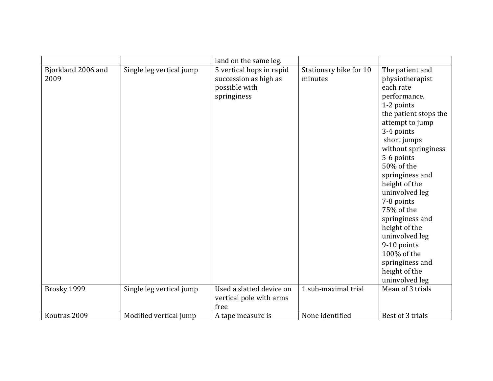|                            |                          | land on the same leg.                                                             |                                   |                                                                                                                                                                                                                                                                                                                                                                                                                                       |
|----------------------------|--------------------------|-----------------------------------------------------------------------------------|-----------------------------------|---------------------------------------------------------------------------------------------------------------------------------------------------------------------------------------------------------------------------------------------------------------------------------------------------------------------------------------------------------------------------------------------------------------------------------------|
| Bjorkland 2006 and<br>2009 | Single leg vertical jump | 5 vertical hops in rapid<br>succession as high as<br>possible with<br>springiness | Stationary bike for 10<br>minutes | The patient and<br>physiotherapist<br>each rate<br>performance.<br>1-2 points<br>the patient stops the<br>attempt to jump<br>3-4 points<br>short jumps<br>without springiness<br>5-6 points<br>50% of the<br>springiness and<br>height of the<br>uninvolved leg<br>7-8 points<br>75% of the<br>springiness and<br>height of the<br>uninvolved leg<br>9-10 points<br>100% of the<br>springiness and<br>height of the<br>uninvolved leg |
| Brosky 1999                | Single leg vertical jump | Used a slatted device on<br>vertical pole with arms<br>free                       | 1 sub-maximal trial               | Mean of 3 trials                                                                                                                                                                                                                                                                                                                                                                                                                      |
| Koutras 2009               | Modified vertical jump   | A tape measure is                                                                 | None identified                   | Best of 3 trials                                                                                                                                                                                                                                                                                                                                                                                                                      |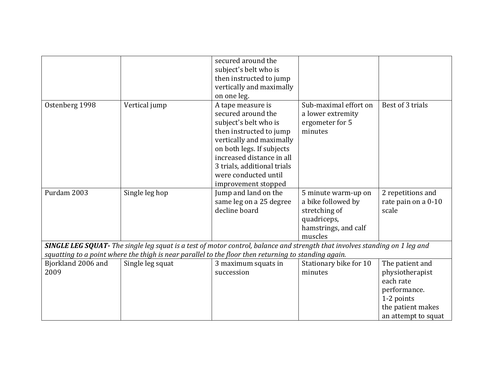|                            |                                                                                                                                                                                                                                            | secured around the<br>subject's belt who is<br>then instructed to jump<br>vertically and maximally<br>on one leg.                                                                                                                                               |                                                                                                              |                                                                                                                           |  |
|----------------------------|--------------------------------------------------------------------------------------------------------------------------------------------------------------------------------------------------------------------------------------------|-----------------------------------------------------------------------------------------------------------------------------------------------------------------------------------------------------------------------------------------------------------------|--------------------------------------------------------------------------------------------------------------|---------------------------------------------------------------------------------------------------------------------------|--|
| Ostenberg 1998             | Vertical jump                                                                                                                                                                                                                              | A tape measure is<br>secured around the<br>subject's belt who is<br>then instructed to jump<br>vertically and maximally<br>on both legs. If subjects<br>increased distance in all<br>3 trials, additional trials<br>were conducted until<br>improvement stopped | Sub-maximal effort on<br>a lower extremity<br>ergometer for 5<br>minutes                                     | Best of 3 trials                                                                                                          |  |
| Purdam 2003                | Single leg hop                                                                                                                                                                                                                             | Jump and land on the<br>same leg on a 25 degree<br>decline board                                                                                                                                                                                                | 5 minute warm-up on<br>a bike followed by<br>stretching of<br>quadriceps,<br>hamstrings, and calf<br>muscles | 2 repetitions and<br>rate pain on a 0-10<br>scale                                                                         |  |
|                            | <b>SINGLE LEG SQUAT-</b> The single leg squat is a test of motor control, balance and strength that involves standing on 1 leg and<br>squatting to a point where the thigh is near parallel to the floor then returning to standing again. |                                                                                                                                                                                                                                                                 |                                                                                                              |                                                                                                                           |  |
| Bjorkland 2006 and<br>2009 | Single leg squat                                                                                                                                                                                                                           | 3 maximum squats in<br>succession                                                                                                                                                                                                                               | Stationary bike for 10<br>minutes                                                                            | The patient and<br>physiotherapist<br>each rate<br>performance.<br>1-2 points<br>the patient makes<br>an attempt to squat |  |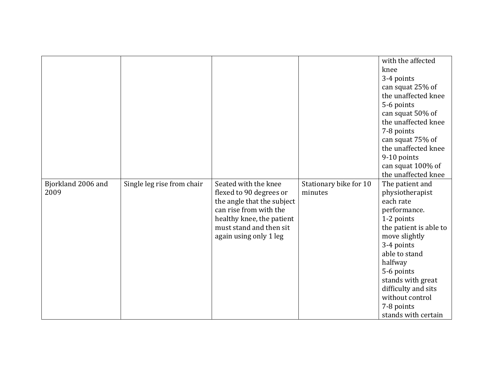| Bjorkland 2006 and<br>2009 | Single leg rise from chair | Seated with the knee<br>flexed to 90 degrees or<br>the angle that the subject                            | Stationary bike for 10<br>minutes | with the affected<br>knee<br>3-4 points<br>can squat 25% of<br>the unaffected knee<br>5-6 points<br>can squat 50% of<br>the unaffected knee<br>7-8 points<br>can squat 75% of<br>the unaffected knee<br>9-10 points<br>can squat 100% of<br>the unaffected knee<br>The patient and<br>physiotherapist<br>each rate |
|----------------------------|----------------------------|----------------------------------------------------------------------------------------------------------|-----------------------------------|--------------------------------------------------------------------------------------------------------------------------------------------------------------------------------------------------------------------------------------------------------------------------------------------------------------------|
|                            |                            | can rise from with the<br>healthy knee, the patient<br>must stand and then sit<br>again using only 1 leg |                                   | performance.<br>1-2 points<br>the patient is able to<br>move slightly<br>3-4 points<br>able to stand<br>halfway                                                                                                                                                                                                    |
|                            |                            |                                                                                                          |                                   | 5-6 points<br>stands with great<br>difficulty and sits<br>without control<br>7-8 points<br>stands with certain                                                                                                                                                                                                     |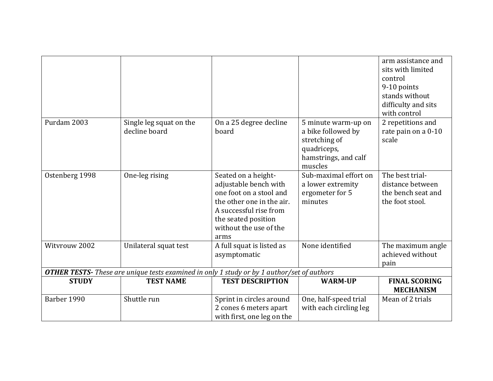|                                                                                                   |                                          |                                                                                                                                                                                         |                                                                                                              | arm assistance and<br>sits with limited<br>control                           |
|---------------------------------------------------------------------------------------------------|------------------------------------------|-----------------------------------------------------------------------------------------------------------------------------------------------------------------------------------------|--------------------------------------------------------------------------------------------------------------|------------------------------------------------------------------------------|
|                                                                                                   |                                          |                                                                                                                                                                                         |                                                                                                              | 9-10 points                                                                  |
|                                                                                                   |                                          |                                                                                                                                                                                         |                                                                                                              | stands without                                                               |
|                                                                                                   |                                          |                                                                                                                                                                                         |                                                                                                              | difficulty and sits<br>with control                                          |
| Purdam 2003                                                                                       | Single leg squat on the<br>decline board | On a 25 degree decline<br>board                                                                                                                                                         | 5 minute warm-up on<br>a bike followed by<br>stretching of<br>quadriceps,<br>hamstrings, and calf<br>muscles | 2 repetitions and<br>rate pain on a 0-10<br>scale                            |
| Ostenberg 1998                                                                                    | One-leg rising                           | Seated on a height-<br>adjustable bench with<br>one foot on a stool and<br>the other one in the air.<br>A successful rise from<br>the seated position<br>without the use of the<br>arms | Sub-maximal effort on<br>a lower extremity<br>ergometer for 5<br>minutes                                     | The best trial-<br>distance between<br>the bench seat and<br>the foot stool. |
| Witvrouw 2002                                                                                     | Unilateral squat test                    | A full squat is listed as<br>asymptomatic                                                                                                                                               | None identified                                                                                              | The maximum angle<br>achieved without<br>pain                                |
| <b>OTHER TESTS-</b> These are unique tests examined in only 1 study or by 1 author/set of authors |                                          |                                                                                                                                                                                         |                                                                                                              |                                                                              |
| <b>STUDY</b>                                                                                      | <b>TEST NAME</b>                         | <b>TEST DESCRIPTION</b>                                                                                                                                                                 | <b>WARM-UP</b>                                                                                               | <b>FINAL SCORING</b><br><b>MECHANISM</b>                                     |
| Barber 1990                                                                                       | Shuttle run                              | Sprint in circles around<br>2 cones 6 meters apart<br>with first, one leg on the                                                                                                        | One, half-speed trial<br>with each circling leg                                                              | Mean of 2 trials                                                             |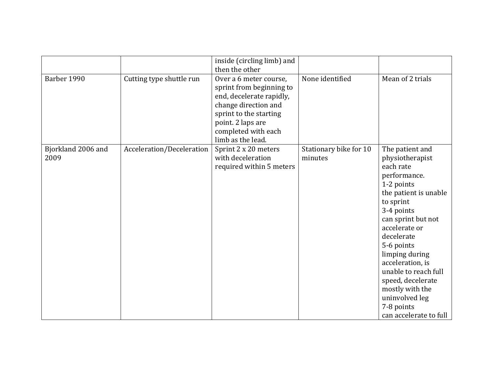|                    |                           | inside (circling limb) and |                        |                        |
|--------------------|---------------------------|----------------------------|------------------------|------------------------|
|                    |                           | then the other             |                        |                        |
| Barber 1990        | Cutting type shuttle run  | Over a 6 meter course,     | None identified        | Mean of 2 trials       |
|                    |                           | sprint from beginning to   |                        |                        |
|                    |                           | end, decelerate rapidly,   |                        |                        |
|                    |                           | change direction and       |                        |                        |
|                    |                           | sprint to the starting     |                        |                        |
|                    |                           | point. 2 laps are          |                        |                        |
|                    |                           | completed with each        |                        |                        |
|                    |                           | limb as the lead.          |                        |                        |
| Bjorkland 2006 and | Acceleration/Deceleration | Sprint 2 x 20 meters       | Stationary bike for 10 | The patient and        |
| 2009               |                           | with deceleration          | minutes                | physiotherapist        |
|                    |                           | required within 5 meters   |                        | each rate              |
|                    |                           |                            |                        | performance.           |
|                    |                           |                            |                        | 1-2 points             |
|                    |                           |                            |                        | the patient is unable  |
|                    |                           |                            |                        | to sprint              |
|                    |                           |                            |                        | 3-4 points             |
|                    |                           |                            |                        | can sprint but not     |
|                    |                           |                            |                        | accelerate or          |
|                    |                           |                            |                        | decelerate             |
|                    |                           |                            |                        | 5-6 points             |
|                    |                           |                            |                        | limping during         |
|                    |                           |                            |                        | acceleration, is       |
|                    |                           |                            |                        | unable to reach full   |
|                    |                           |                            |                        | speed, decelerate      |
|                    |                           |                            |                        | mostly with the        |
|                    |                           |                            |                        | uninvolved leg         |
|                    |                           |                            |                        | 7-8 points             |
|                    |                           |                            |                        | can accelerate to full |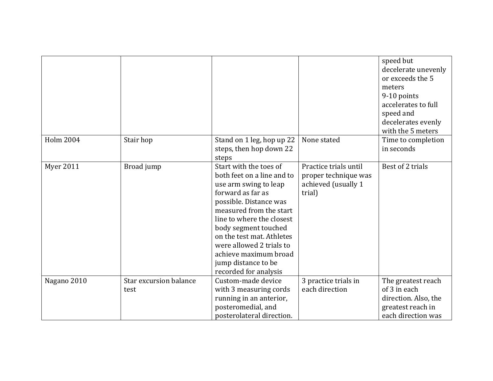|                  |                                |                                                                                                                                                                                                                                                                                                                                                |                                                                                | speed but<br>decelerate unevenly<br>or exceeds the 5<br>meters<br>9-10 points<br>accelerates to full<br>speed and<br>decelerates evenly<br>with the 5 meters |
|------------------|--------------------------------|------------------------------------------------------------------------------------------------------------------------------------------------------------------------------------------------------------------------------------------------------------------------------------------------------------------------------------------------|--------------------------------------------------------------------------------|--------------------------------------------------------------------------------------------------------------------------------------------------------------|
| <b>Holm 2004</b> | Stair hop                      | Stand on 1 leg, hop up 22<br>steps, then hop down 22<br>steps                                                                                                                                                                                                                                                                                  | None stated                                                                    | Time to completion<br>in seconds                                                                                                                             |
| <b>Myer 2011</b> | Broad jump                     | Start with the toes of<br>both feet on a line and to<br>use arm swing to leap<br>forward as far as<br>possible. Distance was<br>measured from the start<br>line to where the closest<br>body segment touched<br>on the test mat. Athletes<br>were allowed 2 trials to<br>achieve maximum broad<br>jump distance to be<br>recorded for analysis | Practice trials until<br>proper technique was<br>achieved (usually 1<br>trial) | Best of 2 trials                                                                                                                                             |
| Nagano 2010      | Star excursion balance<br>test | Custom-made device<br>with 3 measuring cords<br>running in an anterior,<br>posteromedial, and<br>posterolateral direction.                                                                                                                                                                                                                     | 3 practice trials in<br>each direction                                         | The greatest reach<br>of 3 in each<br>direction. Also, the<br>greatest reach in<br>each direction was                                                        |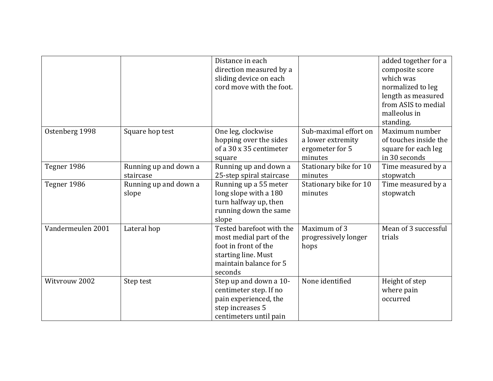|                   |                                    | Distance in each<br>direction measured by a<br>sliding device on each<br>cord move with the foot.                                       |                                                                          | added together for a<br>composite score<br>which was<br>normalized to leg<br>length as measured<br>from ASIS to medial<br>malleolus in<br>standing. |
|-------------------|------------------------------------|-----------------------------------------------------------------------------------------------------------------------------------------|--------------------------------------------------------------------------|-----------------------------------------------------------------------------------------------------------------------------------------------------|
| Ostenberg 1998    | Square hop test                    | One leg, clockwise<br>hopping over the sides<br>of a 30 x 35 centimeter<br>square                                                       | Sub-maximal effort on<br>a lower extremity<br>ergometer for 5<br>minutes | Maximum number<br>of touches inside the<br>square for each leg<br>in 30 seconds                                                                     |
| Tegner 1986       | Running up and down a<br>staircase | Running up and down a<br>25-step spiral staircase                                                                                       | Stationary bike for 10<br>minutes                                        | Time measured by a<br>stopwatch                                                                                                                     |
| Tegner 1986       | Running up and down a<br>slope     | Running up a 55 meter<br>long slope with a 180<br>turn halfway up, then<br>running down the same<br>slope                               | Stationary bike for 10<br>minutes                                        | Time measured by a<br>stopwatch                                                                                                                     |
| Vandermeulen 2001 | Lateral hop                        | Tested barefoot with the<br>most medial part of the<br>foot in front of the<br>starting line. Must<br>maintain balance for 5<br>seconds | Maximum of 3<br>progressively longer<br>hops                             | Mean of 3 successful<br>trials                                                                                                                      |
| Witvrouw 2002     | Step test                          | Step up and down a 10-<br>centimeter step. If no<br>pain experienced, the<br>step increases 5<br>centimeters until pain                 | None identified                                                          | Height of step<br>where pain<br>occurred                                                                                                            |